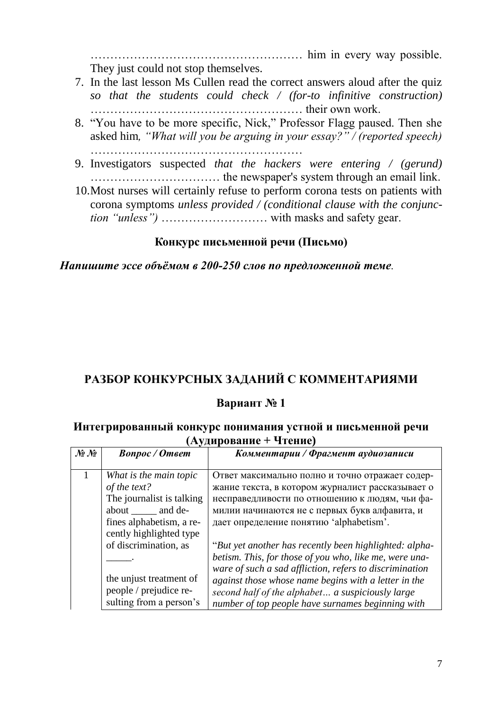## **РАЗБОР КОНКУРСНЫХ ЗАДАНИЙ С КОММЕНТАРИЯМИ**

## **Вариант № 1**

## **Интегрированный конкурс понимания устной и письменной речи (Аудирование + Чтение)**

| $\mathcal{N}\!\!\mathit{2}\;\mathcal{N}\!\!\mathit{2}$ | <b>Bonpoc</b> / Omeem     | Комментарии / Фрагмент аудиозаписи                      |
|--------------------------------------------------------|---------------------------|---------------------------------------------------------|
|                                                        | What is the main topic    | Ответ максимально полно и точно отражает содер-         |
|                                                        | of the text?              | жание текста, в котором журналист рассказывает о        |
|                                                        | The journalist is talking | несправедливости по отношению к людям, чьи фа-          |
|                                                        | about ______ and de-      | милии начинаются не с первых букв алфавита, и           |
|                                                        | fines alphabetism, a re-  | дает определение понятию 'alphabetism'.                 |
|                                                        | cently highlighted type   |                                                         |
|                                                        | of discrimination, as     | "But yet another has recently been highlighted: alpha-  |
|                                                        |                           | betism. This, for those of you who, like me, were una-  |
|                                                        |                           | ware of such a sad affliction, refers to discrimination |
|                                                        | the unjust treatment of   | against those whose name begins with a letter in the    |
|                                                        | people / prejudice re-    | second half of the alphabet a suspiciously large        |
|                                                        | sulting from a person's   | number of top people have surnames beginning with       |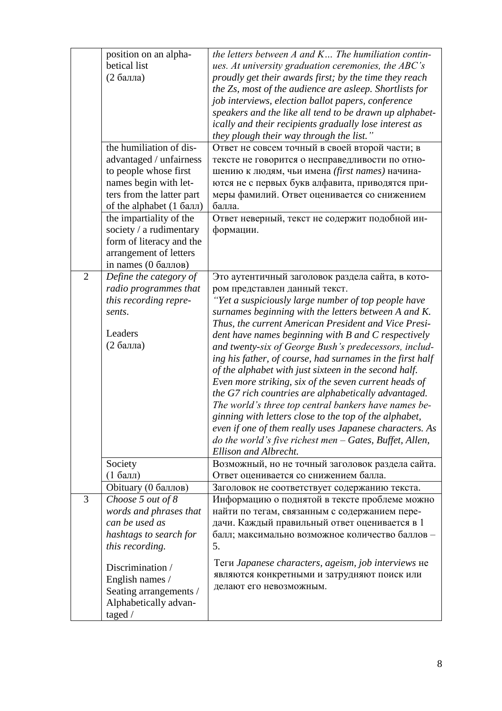|                | position on an alpha-<br>betical list<br>(2 балла)<br>the humiliation of dis-<br>advantaged / unfairness<br>to people whose first<br>names begin with let-<br>ters from the latter part                                                  | the letters between $A$ and $K$ The humiliation contin-<br>ues. At university graduation ceremonies, the ABC's<br>proudly get their awards first; by the time they reach<br>the Zs, most of the audience are asleep. Shortlists for<br>job interviews, election ballot papers, conference<br>speakers and the like all tend to be drawn up alphabet-<br>ically and their recipients gradually lose interest as<br>they plough their way through the list."<br>Ответ не совсем точный в своей второй части; в<br>тексте не говорится о несправедливости по отно-<br>шению к людям, чьи имена (first names) начина-<br>ются не с первых букв алфавита, приводятся при-<br>меры фамилий. Ответ оценивается со снижением                                                                                                                                                               |
|----------------|------------------------------------------------------------------------------------------------------------------------------------------------------------------------------------------------------------------------------------------|------------------------------------------------------------------------------------------------------------------------------------------------------------------------------------------------------------------------------------------------------------------------------------------------------------------------------------------------------------------------------------------------------------------------------------------------------------------------------------------------------------------------------------------------------------------------------------------------------------------------------------------------------------------------------------------------------------------------------------------------------------------------------------------------------------------------------------------------------------------------------------|
|                | of the alphabet $(1)$ балл)<br>the impartiality of the<br>society / a rudimentary<br>form of literacy and the<br>arrangement of letters<br>in names $(0)$ баллов)                                                                        | балла.<br>Ответ неверный, текст не содержит подобной ин-<br>формации.                                                                                                                                                                                                                                                                                                                                                                                                                                                                                                                                                                                                                                                                                                                                                                                                              |
| $\overline{2}$ | Define the category of<br>radio programmes that<br>this recording repre-<br>sents.<br>Leaders<br>(2 балла)                                                                                                                               | Это аутентичный заголовок раздела сайта, в кото-<br>ром представлен данный текст.<br>"Yet a suspiciously large number of top people have<br>surnames beginning with the letters between A and K.<br>Thus, the current American President and Vice Presi-<br>dent have names beginning with B and C respectively<br>and twenty-six of George Bush's predecessors, includ-<br>ing his father, of course, had surnames in the first half<br>of the alphabet with just sixteen in the second half.<br>Even more striking, six of the seven current heads of<br>the G7 rich countries are alphabetically advantaged.<br>The world's three top central bankers have names be-<br>ginning with letters close to the top of the alphabet,<br>even if one of them really uses Japanese characters. As<br>do the world's five richest men $-$ Gates, Buffet, Allen,<br>Ellison and Albrecht. |
|                | Society<br>$(1)$ балл)                                                                                                                                                                                                                   | Возможный, но не точный заголовок раздела сайта.<br>Ответ оценивается со снижением балла.                                                                                                                                                                                                                                                                                                                                                                                                                                                                                                                                                                                                                                                                                                                                                                                          |
| 3              | Obituary (0 баллов)<br>Choose 5 out of 8<br>words and phrases that<br>can be used as<br>hashtags to search for<br>this recording.<br>Discrimination /<br>English names /<br>Seating arrangements /<br>Alphabetically advan-<br>taged $/$ | Заголовок не соответствует содержанию текста.<br>Информацию о поднятой в тексте проблеме можно<br>найти по тегам, связанным с содержанием пере-<br>дачи. Каждый правильный ответ оценивается в 1<br>балл; максимально возможное количество баллов -<br>5.<br>Теги Japanese characters, ageism, job interviews не<br>являются конкретными и затрудняют поиск или<br>делают его невозможным.                                                                                                                                                                                                                                                                                                                                                                                                                                                                                         |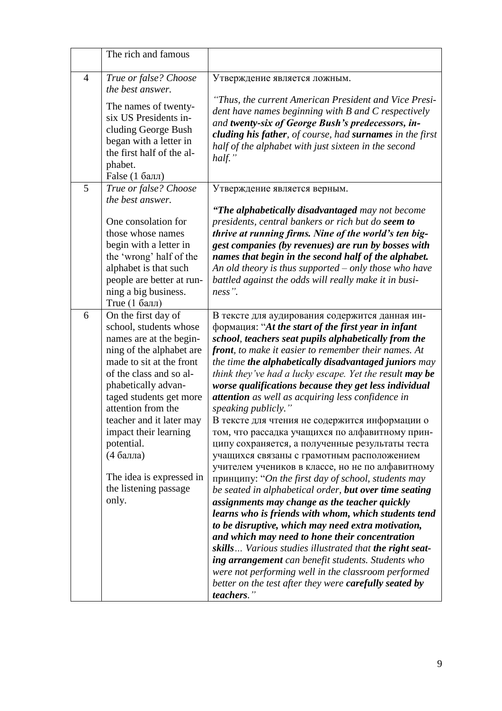|                | The rich and famous                                                                                                                                                                                                                                                                                                                                                               |                                                                                                                                                                                                                                                                                                                                                                                                                                                                                                                                                                                                                                                                                                                                                                                                                                                                                                                                                                                                                                                                                                                                                                                                                                                                                                                      |
|----------------|-----------------------------------------------------------------------------------------------------------------------------------------------------------------------------------------------------------------------------------------------------------------------------------------------------------------------------------------------------------------------------------|----------------------------------------------------------------------------------------------------------------------------------------------------------------------------------------------------------------------------------------------------------------------------------------------------------------------------------------------------------------------------------------------------------------------------------------------------------------------------------------------------------------------------------------------------------------------------------------------------------------------------------------------------------------------------------------------------------------------------------------------------------------------------------------------------------------------------------------------------------------------------------------------------------------------------------------------------------------------------------------------------------------------------------------------------------------------------------------------------------------------------------------------------------------------------------------------------------------------------------------------------------------------------------------------------------------------|
| $\overline{4}$ | True or false? Choose<br>the best answer.                                                                                                                                                                                                                                                                                                                                         | Утверждение является ложным.                                                                                                                                                                                                                                                                                                                                                                                                                                                                                                                                                                                                                                                                                                                                                                                                                                                                                                                                                                                                                                                                                                                                                                                                                                                                                         |
|                | The names of twenty-<br>six US Presidents in-<br>cluding George Bush<br>began with a letter in<br>the first half of the al-<br>phabet.<br>False (1 балл)                                                                                                                                                                                                                          | "Thus, the current American President and Vice Presi-<br>dent have names beginning with B and C respectively<br>and twenty-six of George Bush's predecessors, in-<br><b>cluding his father</b> , of course, had <b>surnames</b> in the first<br>half of the alphabet with just sixteen in the second<br>half. $"$                                                                                                                                                                                                                                                                                                                                                                                                                                                                                                                                                                                                                                                                                                                                                                                                                                                                                                                                                                                                    |
| 5              | True or false? Choose<br>the best answer.                                                                                                                                                                                                                                                                                                                                         | Утверждение является верным.                                                                                                                                                                                                                                                                                                                                                                                                                                                                                                                                                                                                                                                                                                                                                                                                                                                                                                                                                                                                                                                                                                                                                                                                                                                                                         |
|                | One consolation for<br>those whose names<br>begin with a letter in<br>the 'wrong' half of the<br>alphabet is that such<br>people are better at run-<br>ning a big business.<br>True (1 балл)                                                                                                                                                                                      | "The alphabetically disadvantaged may not become<br>presidents, central bankers or rich but do seem to<br>thrive at running firms. Nine of the world's ten big-<br>gest companies (by revenues) are run by bosses with<br>names that begin in the second half of the alphabet.<br>An old theory is thus supported - only those who have<br>battled against the odds will really make it in busi-<br>ness".                                                                                                                                                                                                                                                                                                                                                                                                                                                                                                                                                                                                                                                                                                                                                                                                                                                                                                           |
| 6              | On the first day of<br>school, students whose<br>names are at the begin-<br>ning of the alphabet are<br>made to sit at the front<br>of the class and so al-<br>phabetically advan-<br>taged students get more<br>attention from the<br>teacher and it later may<br>impact their learning<br>potential.<br>(4 балла)<br>The idea is expressed in<br>the listening passage<br>only. | В тексте для аудирования содержится данная ин-<br>формация: "At the start of the first year in infant<br>school, teachers seat pupils alphabetically from the<br><b>front</b> , to make it easier to remember their names. At<br>the time the alphabetically disadvantaged juniors may<br>think they've had a lucky escape. Yet the result may be<br>worse qualifications because they get less individual<br>attention as well as acquiring less confidence in<br>speaking publicly."<br>В тексте для чтения не содержится информации о<br>том, что рассадка учащихся по алфавитному прин-<br>ципу сохраняется, а полученные результаты теста<br>учащихся связаны с грамотным расположением<br>учителем учеников в классе, но не по алфавитному<br>принципу: "On the first day of school, students may<br>be seated in alphabetical order, but over time seating<br>assignments may change as the teacher quickly<br>learns who is friends with whom, which students tend<br>to be disruptive, which may need extra motivation,<br>and which may need to hone their concentration<br>skills Various studies illustrated that the right seat-<br>ing arrangement can benefit students. Students who<br>were not performing well in the classroom performed<br>better on the test after they were carefully seated by |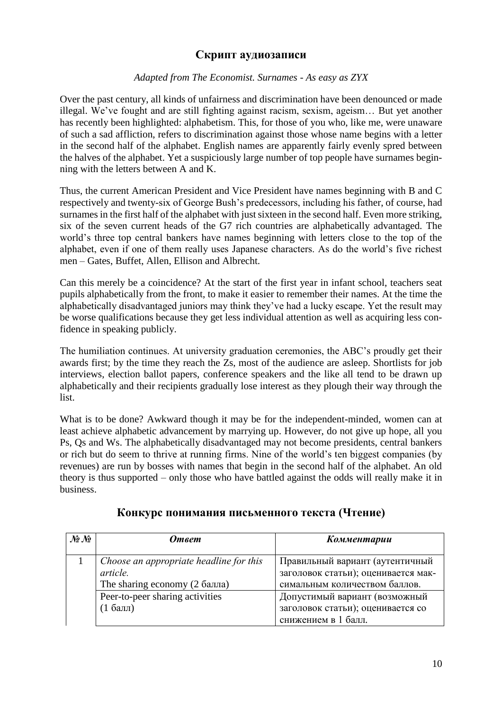### **Скрипт аудиозаписи**

#### *Adapted from The Economist. Surnames - As easy as ZYX*

Over the past century, all kinds of unfairness and discrimination have been denounced or made illegal. We've fought and are still fighting against racism, sexism, ageism… But yet another has recently been highlighted: alphabetism. This, for those of you who, like me, were unaware of such a sad affliction, refers to discrimination against those whose name begins with a letter in the second half of the alphabet. English names are apparently fairly evenly spred between the halves of the alphabet. Yet a suspiciously large number of top people have surnames beginning with the letters between A and K.

Thus, the current American President and Vice President have names beginning with B and C respectively and twenty-six of George Bush's predecessors, including his father, of course, had surnames in the first half of the alphabet with just sixteen in the second half. Even more striking, six of the seven current heads of the G7 rich countries are alphabetically advantaged. The world's three top central bankers have names beginning with letters close to the top of the alphabet, even if one of them really uses Japanese characters. As do the world's five richest men – Gates, Buffet, Allen, Ellison and Albrecht.

Can this merely be a coincidence? At the start of the first year in infant school, teachers seat pupils alphabetically from the front, to make it easier to remember their names. At the time the alphabetically disadvantaged juniors may think they've had a lucky escape. Yet the result may be worse qualifications because they get less individual attention as well as acquiring less confidence in speaking publicly.

The humiliation continues. At university graduation ceremonies, the ABC's proudly get their awards first; by the time they reach the Zs, most of the audience are asleep. Shortlists for job interviews, election ballot papers, conference speakers and the like all tend to be drawn up alphabetically and their recipients gradually lose interest as they plough their way through the list.

What is to be done? Awkward though it may be for the independent-minded, women can at least achieve alphabetic advancement by marrying up. However, do not give up hope, all you Ps, Qs and Ws. The alphabetically disadvantaged may not become presidents, central bankers or rich but do seem to thrive at running firms. Nine of the world's ten biggest companies (by revenues) are run by bosses with names that begin in the second half of the alphabet. An old theory is thus supported – only those who have battled against the odds will really make it in business.

| $\mathcal{N}\!\!\mathit{\Omega} \mathcal{N}\!\!\mathit{\Omega}$ | <b>Ответ</b>                            | Комментарии                         |
|-----------------------------------------------------------------|-----------------------------------------|-------------------------------------|
|                                                                 |                                         |                                     |
|                                                                 | Choose an appropriate headline for this | Правильный вариант (аутентичный     |
|                                                                 | article.                                | заголовок статьи); оценивается мак- |
|                                                                 | The sharing economy (2 балла)           | симальным количеством баллов.       |
|                                                                 | Peer-to-peer sharing activities         | Допустимый вариант (возможный       |
|                                                                 | $(1)$ балл                              | заголовок статьи); оценивается со   |
|                                                                 |                                         | снижением в 1 балл.                 |

#### **Конкурс понимания письменного текста (Чтение)**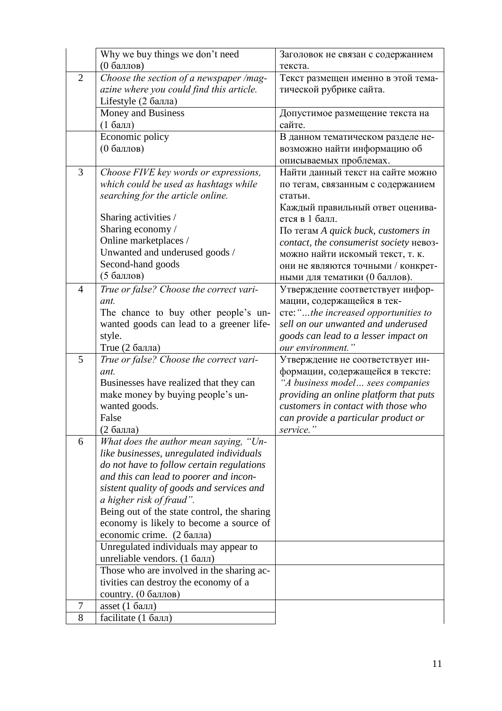|                | Why we buy things we don't need             | Заголовок не связан с содержанием       |
|----------------|---------------------------------------------|-----------------------------------------|
|                | (0 баллов)                                  | текста.                                 |
| $\overline{2}$ | Choose the section of a newspaper /mag-     | Текст размещен именно в этой тема-      |
|                | azine where you could find this article.    | тической рубрике сайта.                 |
|                | Lifestyle (2 балла)                         |                                         |
|                | Money and Business                          | Допустимое размещение текста на         |
|                | $(16a$ лл)                                  | сайте.                                  |
|                | Economic policy                             | В данном тематическом разделе не-       |
|                | (0 баллов)                                  | возможно найти информацию об            |
|                |                                             | описываемых проблемах.                  |
| $\overline{3}$ | Choose FIVE key words or expressions,       | Найти данный текст на сайте можно       |
|                | which could be used as hashtags while       | по тегам, связанным с содержанием       |
|                | searching for the article online.           | статьи.                                 |
|                |                                             | Каждый правильный ответ оценива-        |
|                | Sharing activities /                        | ется в 1 балл.                          |
|                | Sharing economy/                            | По тегам A quick buck, customers in     |
|                | Online marketplaces /                       | contact, the consumerist society невоз- |
|                | Unwanted and underused goods /              | можно найти искомый текст, т. к.        |
|                | Second-hand goods                           | они не являются точными / конкрет-      |
|                | (5 баллов)                                  | ными для тематики (0 баллов).           |
| $\overline{4}$ | True or false? Choose the correct vari-     | Утверждение соответствует инфор-        |
|                | ant.                                        | мации, содержащейся в тек-              |
|                | The chance to buy other people's un-        | cre: "the increased opportunities to    |
|                | wanted goods can lead to a greener life-    | sell on our unwanted and underused      |
|                | style.                                      | goods can lead to a lesser impact on    |
|                | True $(2)$ балла)                           | our environment."                       |
| 5              | True or false? Choose the correct vari-     | Утверждение не соответствует ин-        |
|                | ant.                                        | формации, содержащейся в тексте:        |
|                | Businesses have realized that they can      | "A business model sees companies        |
|                | make money by buying people's un-           | providing an online platform that puts  |
|                | wanted goods.                               | customers in contact with those who     |
|                | False                                       | can provide a particular product or     |
|                | (2 балла)                                   | service.                                |
| 6              | What does the author mean saying, "Un-      |                                         |
|                | like businesses, unregulated individuals    |                                         |
|                | do not have to follow certain regulations   |                                         |
|                | and this can lead to poorer and incon-      |                                         |
|                | sistent quality of goods and services and   |                                         |
|                | a higher risk of fraud".                    |                                         |
|                | Being out of the state control, the sharing |                                         |
|                | economy is likely to become a source of     |                                         |
|                | economic crime. (2 балла)                   |                                         |
|                | Unregulated individuals may appear to       |                                         |
|                | unreliable vendors. $(1.6a\pi)$             |                                         |
|                | Those who are involved in the sharing ac-   |                                         |
|                | tivities can destroy the economy of a       |                                         |
|                | country. (0 баллов)                         |                                         |
| 7              | asset $(1)$ балл)                           |                                         |
| 8              | facilitate (1 балл)                         |                                         |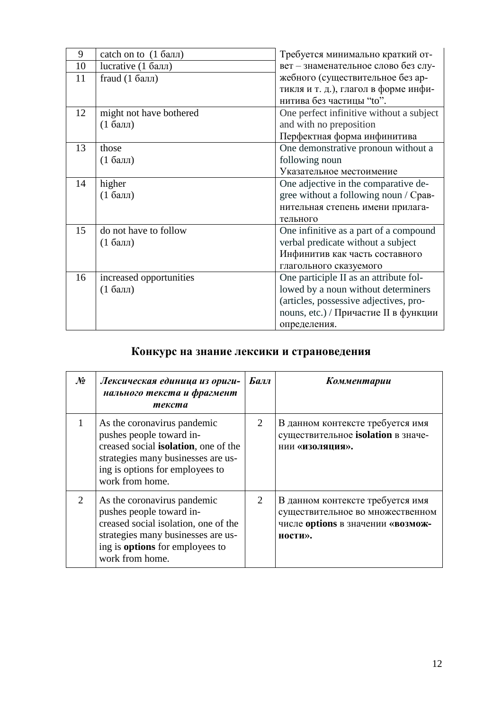| 9  | catch on to $(1)$ балл) | Требуется минимально краткий от-         |
|----|-------------------------|------------------------------------------|
| 10 | lucrative $(1)$ балл)   | вет - знаменательное слово без слу-      |
| 11 | fraud $(1)$ балл)       | жебного (существительное без ар-         |
|    |                         | тикля и т. д.), глагол в форме инфи-     |
|    |                         | нитива без частицы "to".                 |
| 12 | might not have bothered | One perfect infinitive without a subject |
|    | $(16a$ лл               | and with no preposition                  |
|    |                         | Перфектная форма инфинитива              |
| 13 | those                   | One demonstrative pronoun without a      |
|    | $(16a$ лл)              | following noun                           |
|    |                         | Указательное местоимение                 |
| 14 | higher                  | One adjective in the comparative de-     |
|    | $(16a$ лл               | gree without a following noun / Срав-    |
|    |                         | нительная степень имени прилага-         |
|    |                         | тельного                                 |
| 15 | do not have to follow   | One infinitive as a part of a compound   |
|    | $(16a$ лл               | verbal predicate without a subject       |
|    |                         | Инфинитив как часть составного           |
|    |                         | глагольного сказуемого                   |
| 16 | increased opportunities | One participle II as an attribute fol-   |
|    | $(1)$ балл              | lowed by a noun without determiners      |
|    |                         | (articles, possessive adjectives, pro-   |
|    |                         | nouns, etc.) / Причастие II в функции    |
|    |                         | определения.                             |

## **Конкурс на знание лексики и страноведения**

| $\mathcal{N}$               | Лексическая единица из ориги-<br>нального текста и фрагмент<br>текста                                                                                                                               | Балл | Комментарии                                                                                                          |
|-----------------------------|-----------------------------------------------------------------------------------------------------------------------------------------------------------------------------------------------------|------|----------------------------------------------------------------------------------------------------------------------|
|                             | As the coronavirus pandemic<br>pushes people toward in-<br>creased social <b>isolation</b> , one of the<br>strategies many businesses are us-<br>ing is options for employees to<br>work from home. | 2    | В данном контексте требуется имя<br>существительное isolation в значе-<br>нии «изоляция».                            |
| $\mathcal{D}_{\mathcal{L}}$ | As the coronavirus pandemic<br>pushes people toward in-<br>creased social isolation, one of the<br>strategies many businesses are us-<br>ing is <b>options</b> for employees to<br>work from home.  | 2    | В данном контексте требуется имя<br>существительное во множественном<br>числе options в значении «возмож-<br>ности». |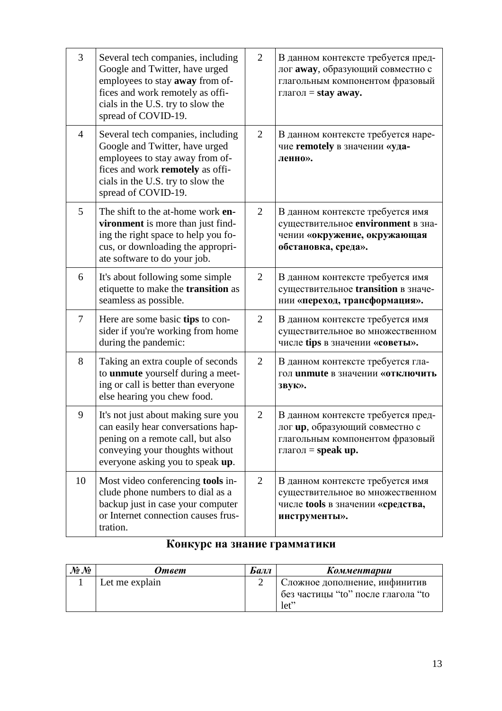| $\overline{3}$ | Several tech companies, including<br>Google and Twitter, have urged<br>employees to stay away from of-<br>fices and work remotely as offi-<br>cials in the U.S. try to slow the<br>spread of COVID-19. | 2              | В данном контексте требуется пред-<br>лог away, образующий совместно с<br>глагольным компонентом фразовый<br>глагол = stay away.       |
|----------------|--------------------------------------------------------------------------------------------------------------------------------------------------------------------------------------------------------|----------------|----------------------------------------------------------------------------------------------------------------------------------------|
| $\overline{4}$ | Several tech companies, including<br>Google and Twitter, have urged<br>employees to stay away from of-<br>fices and work remotely as offi-<br>cials in the U.S. try to slow the<br>spread of COVID-19. | 2              | В данном контексте требуется наре-<br>чие remotely в значении «уда-<br>ленно».                                                         |
| $\mathfrak{S}$ | The shift to the at-home work en-<br>vironment is more than just find-<br>ing the right space to help you fo-<br>cus, or downloading the appropri-<br>ate software to do your job.                     | 2              | В данном контексте требуется имя<br>существительное environment в зна-<br>чении «окружение, окружающая<br>обстановка, среда».          |
| 6              | It's about following some simple<br>etiquette to make the <b>transition</b> as<br>seamless as possible.                                                                                                | 2              | В данном контексте требуется имя<br>существительное transition в значе-<br>нии «переход, трансформация».                               |
| $\overline{7}$ | Here are some basic tips to con-<br>sider if you're working from home<br>during the pandemic:                                                                                                          | 2              | В данном контексте требуется имя<br>существительное во множественном<br>числе tips в значении «советы».                                |
| 8              | Taking an extra couple of seconds<br>to <b>unmute</b> yourself during a meet-<br>ing or call is better than everyone<br>else hearing you chew food.                                                    | 2              | В данном контексте требуется гла-<br>гол unmute в значении «отключить<br>звук».                                                        |
| 9              | It's not just about making sure you<br>can easily hear conversations hap-<br>pening on a remote call, but also<br>conveying your thoughts without<br>everyone asking you to speak up.                  | $\overline{2}$ | В данном контексте требуется пред-<br>лог ир, образующий совместно с<br>глагольным компонентом фразовый<br>глагол = $\text{speak up.}$ |
| 10             | Most video conferencing tools in-<br>clude phone numbers to dial as a<br>backup just in case your computer<br>or Internet connection causes frus-<br>tration.                                          | 2              | В данном контексте требуется имя<br>существительное во множественном<br>числе tools в значении «средства,<br>инструменты».             |

# **Конкурс на знание грамматики**

| $\mathcal{N}\!\!\varrho \, \mathcal{N}\!\!\varrho$ | Ответ          | Балл | Комментарии                                                         |
|----------------------------------------------------|----------------|------|---------------------------------------------------------------------|
|                                                    | Let me explain |      | Сложное дополнение, инфинитив<br>без частицы "to" после глагола "to |
|                                                    |                |      | let                                                                 |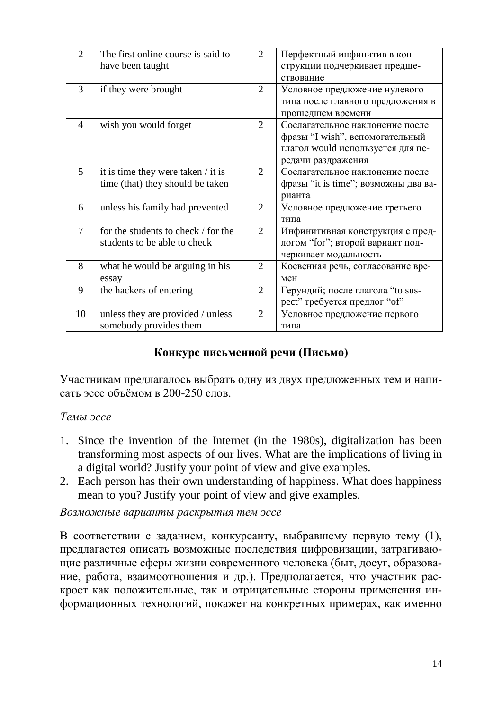| $\overline{2}$ | The first online course is said to  | $\overline{2}$              | Перфектный инфинитив в кон-          |
|----------------|-------------------------------------|-----------------------------|--------------------------------------|
|                | have been taught                    |                             | струкции подчеркивает предше-        |
|                |                                     |                             | ствование                            |
| 3              | if they were brought                | 2                           | Условное предложение нулевого        |
|                |                                     |                             | типа после главного предложения в    |
|                |                                     |                             | прошедшем времени                    |
| 4              | wish you would forget               | 2                           | Сослагательное наклонение после      |
|                |                                     |                             | фразы "I wish", вспомогательный      |
|                |                                     |                             | глагол would используется для пе-    |
|                |                                     |                             | редачи раздражения                   |
| $\overline{5}$ | it is time they were taken / it is  | 2                           | Сослагательное наклонение после      |
|                | time (that) they should be taken    |                             | фразы "it is time"; возможны два ва- |
|                |                                     |                             | рианта                               |
| 6              | unless his family had prevented     | $\overline{2}$              | Условное предложение третьего        |
|                |                                     |                             | типа                                 |
| 7              | for the students to check / for the | $\mathcal{D}_{\mathcal{L}}$ | Инфинитивная конструкция с пред-     |
|                | students to be able to check        |                             | логом "for"; второй вариант под-     |
|                |                                     |                             | черкивает модальность                |
| 8              | what he would be arguing in his     | $\overline{2}$              | Косвенная речь, согласование вре-    |
|                | essay                               |                             | мен                                  |
| 9              | the hackers of entering             | $\overline{2}$              | Герундий; после глагола "to sus-     |
|                |                                     |                             | pect" требуется предлог "of"         |
| 10             | unless they are provided / unless   | 2                           | Условное предложение первого         |
|                | somebody provides them              |                             | типа                                 |

## Конкурс письменной речи (Письмо)

Участникам предлагалось выбрать одну из двух предложенных тем и написать эссе объёмом в 200-250 слов.

### Темы эссе

- 1. Since the invention of the Internet (in the 1980s), digitalization has been transforming most aspects of our lives. What are the implications of living in a digital world? Justify your point of view and give examples.
- 2. Each person has their own understanding of happiness. What does happiness mean to you? Justify your point of view and give examples.

Возможные варианты раскрытия тем эссе

В соответствии с заданием, конкурсанту, выбравшему первую тему (1), предлагается описать возможные последствия цифровизации, затрагивающие различные сферы жизни современного человека (быт, досуг, образование, работа, взаимоотношения и др.). Предполагается, что участник раскроет как положительные, так и отрицательные стороны применения информационных технологий, покажет на конкретных примерах, как именно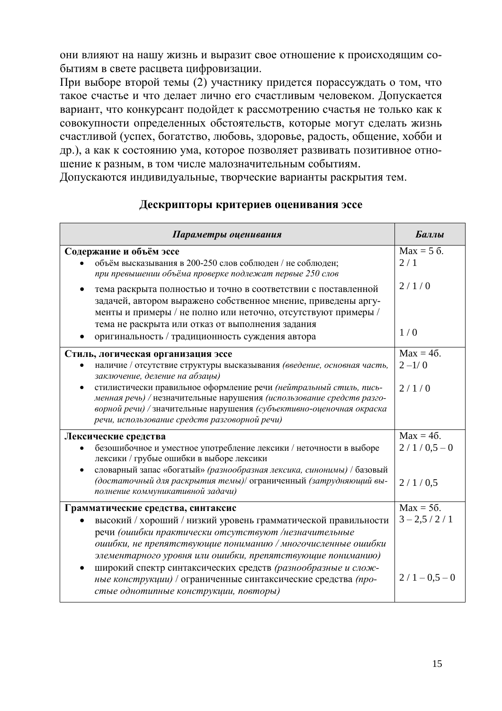они влияют на нашу жизнь и выразит свое отношение к происходящим событиям в свете расцвета цифровизации.

При выборе второй темы (2) участнику придется порассуждать о том, что такое счастье и что делает лично его счастливым человеком. Допускается вариант, что конкурсант подойдет к рассмотрению счастья не только как к совокупности определенных обстоятельств, которые могут сделать жизнь счастливой (успех, богатство, любовь, здоровье, радость, общение, хобби и др.), а как к состоянию ума, которое позволяет развивать позитивное отношение к разным, в том числе малозначительным событиям.

Допускаются индивидуальные, творческие варианты раскрытия тем.

### Дескрипторы критериев оценивания эссе

| Параметры оценивания                                                                                                                                                                                                                                                                                                                                                                                                                                                | Баллы                                                 |
|---------------------------------------------------------------------------------------------------------------------------------------------------------------------------------------------------------------------------------------------------------------------------------------------------------------------------------------------------------------------------------------------------------------------------------------------------------------------|-------------------------------------------------------|
| Содержание и объём эссе<br>объём высказывания в 200-250 слов соблюден / не соблюден;<br>при превышении объёма проверке подлежат первые 250 слов<br>тема раскрыта полностью и точно в соответствии с поставленной<br>задачей, автором выражено собственное мнение, приведены аргу-<br>менты и примеры / не полно или неточно, отсутствуют примеры /<br>тема не раскрыта или отказ от выполнения задания<br>оригинальность / традиционность суждения автора           | $Max = 5$ $6$ .<br>2/1<br>2/1/0<br>1/0                |
| Стиль, логическая организация эссе<br>наличие / отсутствие структуры высказывания (введение, основная часть,<br>заключение, деление на абзацы)<br>стилистически правильное оформление речи (нейтральный стиль, пись-<br>менная речь) / незначительные нарушения (использование средств разго-<br>ворной речи) / значительные нарушения (субъективно-оценочная окраска<br>речи, использование средств разговорной речи)                                              | $Max = 46$ .<br>$2 - 1/0$<br>2/1/0                    |
| Лексические средства<br>безошибочное и уместное употребление лексики / неточности в выборе<br>лексики / грубые ошибки в выборе лексики<br>словарный запас «богатый» (разнообразная лексика, синонимы) / базовый<br>(достаточный для раскрытия темы)/ ограниченный (затрудняющий вы-<br>полнение коммуникативной задачи)                                                                                                                                             | $Max = 46.$<br>$2/1/0,5-0$<br>2/1/0.5                 |
| Грамматические средства, синтаксис<br>высокий / хороший / низкий уровень грамматической правильности<br>речи (ошибки практически отсутствуют /незначительные<br>ошибки, не препятствующие пониманию / многочисленные ошибки<br>элементарного уровня или ошибки, препятствующие пониманию)<br>широкий спектр синтаксических средств (разнообразные и слож-<br>ные конструкции) / ограниченные синтаксические средства (про-<br>стые однотипные конструкции, повторы) | $Max = 56$ .<br>$3 - 2, 5 / 2 / 1$<br>$2/1 - 0.5 - 0$ |